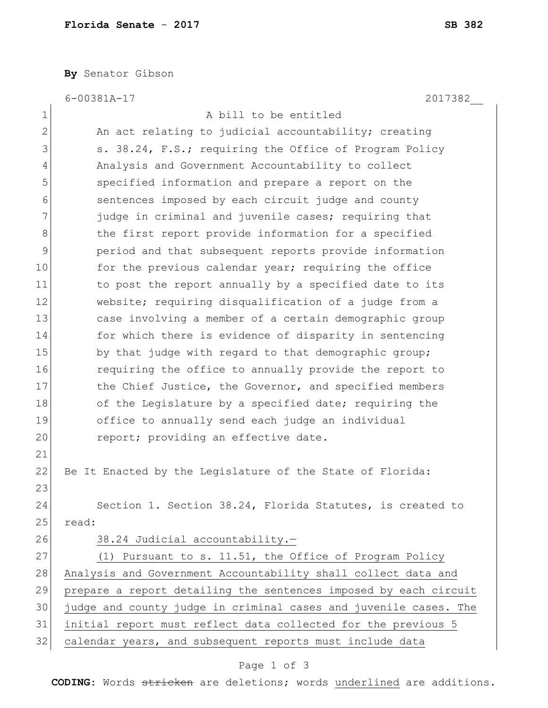**By** Senator Gibson

|              | 2017382<br>$6 - 00381A - 17$                                     |
|--------------|------------------------------------------------------------------|
| 1            | A bill to be entitled                                            |
| $\mathbf{2}$ | An act relating to judicial accountability; creating             |
| 3            | s. 38.24, F.S.; requiring the Office of Program Policy           |
| 4            | Analysis and Government Accountability to collect                |
| 5            | specified information and prepare a report on the                |
| 6            | sentences imposed by each circuit judge and county               |
| 7            | judge in criminal and juvenile cases; requiring that             |
| 8            | the first report provide information for a specified             |
| 9            | period and that subsequent reports provide information           |
| 10           | for the previous calendar year; requiring the office             |
| 11           | to post the report annually by a specified date to its           |
| 12           | website; requiring disqualification of a judge from a            |
| 13           | case involving a member of a certain demographic group           |
| 14           | for which there is evidence of disparity in sentencing           |
| 15           | by that judge with regard to that demographic group;             |
| 16           | requiring the office to annually provide the report to           |
| 17           | the Chief Justice, the Governor, and specified members           |
| 18           | of the Legislature by a specified date; requiring the            |
| 19           | office to annually send each judge an individual                 |
| 20           | report; providing an effective date.                             |
| 21           |                                                                  |
| 22           | Be It Enacted by the Legislature of the State of Florida:        |
| 23           |                                                                  |
| 24           | Section 1. Section 38.24, Florida Statutes, is created to        |
| 25           | read:                                                            |
| 26           | 38.24 Judicial accountability.-                                  |
| 27           | (1) Pursuant to s. 11.51, the Office of Program Policy           |
| 28           | Analysis and Government Accountability shall collect data and    |
| 29           | prepare a report detailing the sentences imposed by each circuit |
| 30           | judge and county judge in criminal cases and juvenile cases. The |
| 31           | initial report must reflect data collected for the previous 5    |
| 32           | calendar years, and subsequent reports must include data         |

## Page 1 of 3

**CODING**: Words stricken are deletions; words underlined are additions.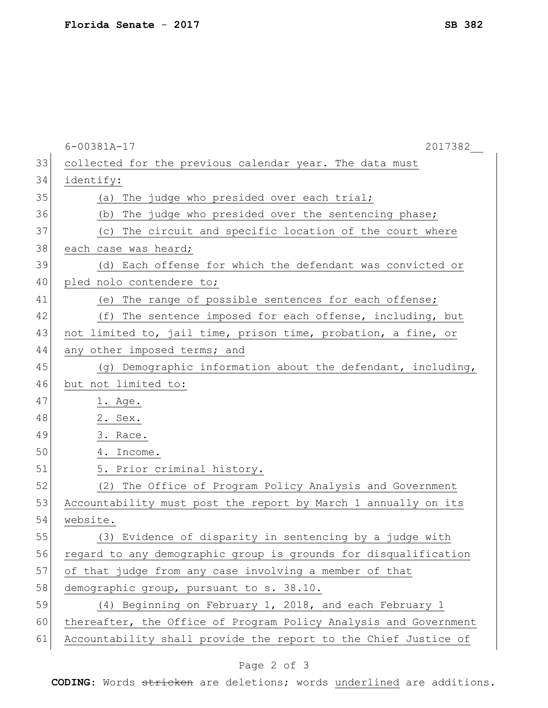|    | $6 - 00381A - 17$<br>2017382                                     |
|----|------------------------------------------------------------------|
| 33 | collected for the previous calendar year. The data must          |
| 34 | identify:                                                        |
| 35 | (a) The judge who presided over each trial;                      |
| 36 | The judge who presided over the sentencing phase;<br>(b)         |
| 37 | (c) The circuit and specific location of the court where         |
| 38 | each case was heard;                                             |
| 39 | (d) Each offense for which the defendant was convicted or        |
| 40 | pled nolo contendere to;                                         |
| 41 | (e) The range of possible sentences for each offense;            |
| 42 | (f) The sentence imposed for each offense, including, but        |
| 43 | not limited to, jail time, prison time, probation, a fine, or    |
| 44 | any other imposed terms; and                                     |
| 45 | (g) Demographic information about the defendant, including,      |
| 46 | but not limited to:                                              |
| 47 | 1. Age.                                                          |
| 48 | 2. Sex.                                                          |
| 49 | 3. Race.                                                         |
| 50 | 4. Income.                                                       |
| 51 | 5. Prior criminal history.                                       |
| 52 | (2) The Office of Program Policy Analysis and Government         |
| 53 | Accountability must post the report by March 1 annually on its   |
| 54 | website.                                                         |
| 55 | (3) Evidence of disparity in sentencing by a judge with          |
| 56 | regard to any demographic group is grounds for disqualification  |
| 57 | of that judge from any case involving a member of that           |
| 58 | demographic group, pursuant to s. 38.10.                         |
| 59 | (4) Beginning on February 1, 2018, and each February 1           |
| 60 | thereafter, the Office of Program Policy Analysis and Government |
| 61 | Accountability shall provide the report to the Chief Justice of  |

## Page 2 of 3

**CODING**: Words stricken are deletions; words underlined are additions.